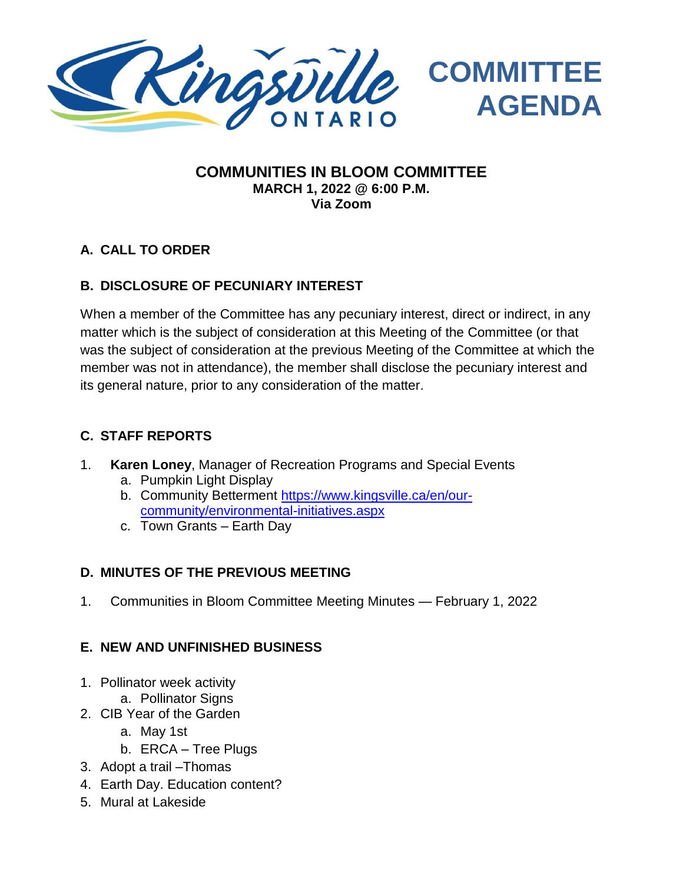

#### **COMMUNITIES IN BLOOM COMMITTEE MARCH 1, 2022 @ 6:00 P.M. Via Zoom**

#### **A. CALL TO ORDER**

#### **B. DISCLOSURE OF PECUNIARY INTEREST**

When a member of the Committee has any pecuniary interest, direct or indirect, in any matter which is the subject of consideration at this Meeting of the Committee (or that was the subject of consideration at the previous Meeting of the Committee at which the member was not in attendance), the member shall disclose the pecuniary interest and its general nature, prior to any consideration of the matter.

#### **C. STAFF REPORTS**

- 1. **Karen Loney**, Manager of Recreation Programs and Special Events
	- a. Pumpkin Light Display
	- b. Community Betterment [https://www.kingsville.ca/en/our](https://www.kingsville.ca/en/our-community/environmental-initiatives.aspx)[community/environmental-initiatives.aspx](https://www.kingsville.ca/en/our-community/environmental-initiatives.aspx)
	- c. Town Grants Earth Day

#### **D. MINUTES OF THE PREVIOUS MEETING**

1. Communities in Bloom Committee Meeting Minutes — February 1, 2022

#### **E. NEW AND UNFINISHED BUSINESS**

- 1. Pollinator week activity
- a. Pollinator Signs
- 2. CIB Year of the Garden
	- a. May 1st
	- b. ERCA Tree Plugs
- 3. Adopt a trail –Thomas
- 4. Earth Day. Education content?
- 5. Mural at Lakeside